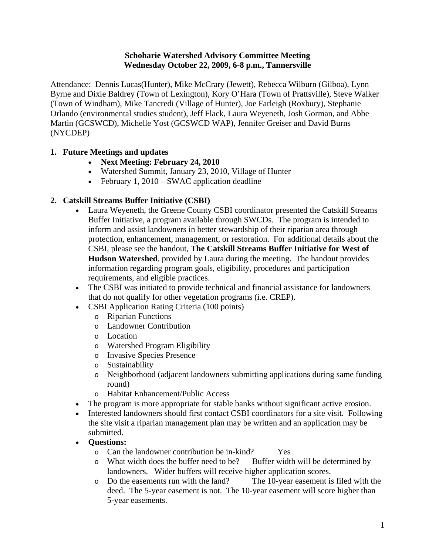#### **Schoharie Watershed Advisory Committee Meeting Wednesday October 22, 2009, 6-8 p.m., Tannersville**

Attendance: Dennis Lucas(Hunter), Mike McCrary (Jewett), Rebecca Wilburn (Gilboa), Lynn Byrne and Dixie Baldrey (Town of Lexington), Kory O'Hara (Town of Prattsville), Steve Walker (Town of Windham), Mike Tancredi (Village of Hunter), Joe Farleigh (Roxbury), Stephanie Orlando (environmental studies student), Jeff Flack, Laura Weyeneth, Josh Gorman, and Abbe Martin (GCSWCD), Michelle Yost (GCSWCD WAP), Jennifer Greiser and David Burns (NYCDEP)

# **1. Future Meetings and updates**

- **Next Meeting: February 24, 2010**
- Watershed Summit, January 23, 2010, Village of Hunter
- February 1, 2010 SWAC application deadline

## **2. Catskill Streams Buffer Initiative (CSBI)**

- Laura Weyeneth, the Greene County CSBI coordinator presented the Catskill Streams Buffer Initiative, a program available through SWCDs. The program is intended to inform and assist landowners in better stewardship of their riparian area through protection, enhancement, management, or restoration. For additional details about the CSBI, please see the handout, **The Catskill Streams Buffer Initiative for West of Hudson Watershed**, provided by Laura during the meeting. The handout provides information regarding program goals, eligibility, procedures and participation requirements, and eligible practices.
- The CSBI was initiated to provide technical and financial assistance for landowners that do not qualify for other vegetation programs (i.e. CREP).
- CSBI Application Rating Criteria (100 points)
	- o Riparian Functions
	- o Landowner Contribution
	- o Location
	- o Watershed Program Eligibility
	- o Invasive Species Presence
	- o Sustainability
	- o Neighborhood (adjacent landowners submitting applications during same funding round)
	- o Habitat Enhancement/Public Access
- The program is more appropriate for stable banks without significant active erosion.
- Interested landowners should first contact CSBI coordinators for a site visit. Following the site visit a riparian management plan may be written and an application may be submitted.
- **Questions:** 
	- o Can the landowner contribution be in-kind? Yes
	- o What width does the buffer need to be? Buffer width will be determined by landowners. Wider buffers will receive higher application scores.
	- o Do the easements run with the land? The 10-year easement is filed with the deed. The 5-year easement is not. The 10-year easement will score higher than 5-year easements.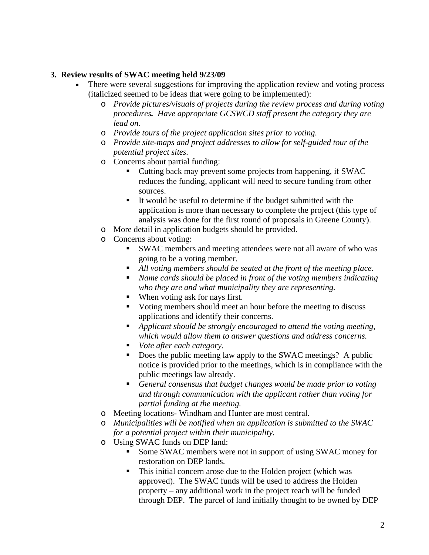### **3. Review results of SWAC meeting held 9/23/09**

- There were several suggestions for improving the application review and voting process (italicized seemed to be ideas that were going to be implemented):
	- o *Provide pictures/visuals of projects during the review process and during voting procedures. Have appropriate GCSWCD staff present the category they are lead on.*
	- o *Provide tours of the project application sites prior to voting.*
	- o *Provide site-maps and project addresses to allow for self-guided tour of the potential project sites.*
	- o Concerns about partial funding:
		- Cutting back may prevent some projects from happening, if SWAC reduces the funding, applicant will need to secure funding from other sources.
		- It would be useful to determine if the budget submitted with the application is more than necessary to complete the project (this type of analysis was done for the first round of proposals in Greene County).
	- o More detail in application budgets should be provided.
	- o Concerns about voting:
		- SWAC members and meeting attendees were not all aware of who was going to be a voting member.
		- *All voting members should be seated at the front of the meeting place.*
		- *Name cards should be placed in front of the voting members indicating who they are and what municipality they are representing.*
		- When voting ask for nays first.
		- Voting members should meet an hour before the meeting to discuss applications and identify their concerns.
		- *Applicant should be strongly encouraged to attend the voting meeting, which would allow them to answer questions and address concerns.*
		- *Vote after each category.*
		- Does the public meeting law apply to the SWAC meetings? A public notice is provided prior to the meetings, which is in compliance with the public meetings law already.
		- *General consensus that budget changes would be made prior to voting and through communication with the applicant rather than voting for partial funding at the meeting.*
	- o Meeting locations- Windham and Hunter are most central.
	- o *Municipalities will be notified when an application is submitted to the SWAC for a potential project within their municipality.*
	- o Using SWAC funds on DEP land:
		- Some SWAC members were not in support of using SWAC money for restoration on DEP lands.
		- This initial concern arose due to the Holden project (which was approved). The SWAC funds will be used to address the Holden property – any additional work in the project reach will be funded through DEP. The parcel of land initially thought to be owned by DEP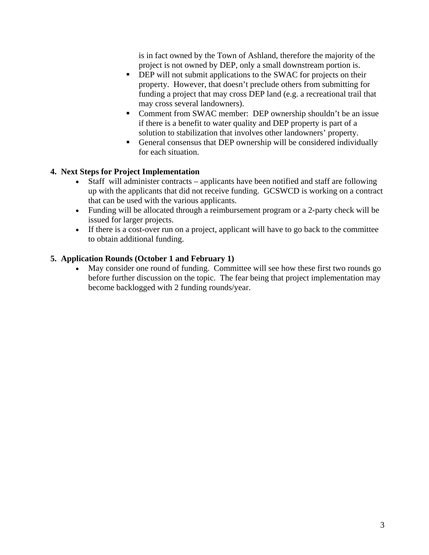is in fact owned by the Town of Ashland, therefore the majority of the project is not owned by DEP, only a small downstream portion is.

- **DEP** will not submit applications to the SWAC for projects on their property. However, that doesn't preclude others from submitting for funding a project that may cross DEP land (e.g. a recreational trail that may cross several landowners).
- Comment from SWAC member: DEP ownership shouldn't be an issue if there is a benefit to water quality and DEP property is part of a solution to stabilization that involves other landowners' property.
- General consensus that DEP ownership will be considered individually for each situation.

# **4. Next Steps for Project Implementation**

- Staff will administer contracts applicants have been notified and staff are following up with the applicants that did not receive funding. GCSWCD is working on a contract that can be used with the various applicants.
- Funding will be allocated through a reimbursement program or a 2-party check will be issued for larger projects.
- If there is a cost-over run on a project, applicant will have to go back to the committee to obtain additional funding.

# **5. Application Rounds (October 1 and February 1)**

 May consider one round of funding. Committee will see how these first two rounds go before further discussion on the topic. The fear being that project implementation may become backlogged with 2 funding rounds/year.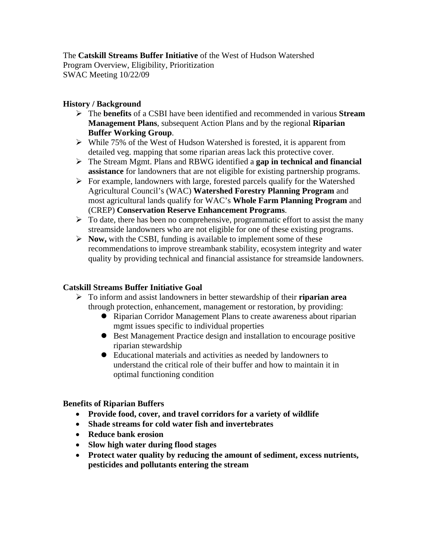## The **Catskill Streams Buffer Initiative** of the West of Hudson Watershed Program Overview, Eligibility, Prioritization SWAC Meeting 10/22/09

## **History / Background**

- The **benefits** of a CSBI have been identified and recommended in various **Stream Management Plans**, subsequent Action Plans and by the regional **Riparian Buffer Working Group**.
- $\triangleright$  While 75% of the West of Hudson Watershed is forested, it is apparent from detailed veg. mapping that some riparian areas lack this protective cover.
- The Stream Mgmt. Plans and RBWG identified a **gap in technical and financial assistance** for landowners that are not eligible for existing partnership programs.
- $\triangleright$  For example, landowners with large, forested parcels qualify for the Watershed Agricultural Council's (WAC) **Watershed Forestry Planning Program** and most agricultural lands qualify for WAC's **Whole Farm Planning Program** and (CREP) **Conservation Reserve Enhancement Programs**.
- $\triangleright$  To date, there has been no comprehensive, programmatic effort to assist the many streamside landowners who are not eligible for one of these existing programs.
- **Now,** with the CSBI, funding is available to implement some of these recommendations to improve streambank stability, ecosystem integrity and water quality by providing technical and financial assistance for streamside landowners.

# **Catskill Streams Buffer Initiative Goal**

- To inform and assist landowners in better stewardship of their **riparian area** through protection, enhancement, management or restoration, by providing:
	- Riparian Corridor Management Plans to create awareness about riparian mgmt issues specific to individual properties
	- Best Management Practice design and installation to encourage positive riparian stewardship
	- Educational materials and activities as needed by landowners to understand the critical role of their buffer and how to maintain it in optimal functioning condition

## **Benefits of Riparian Buffers**

- **Provide food, cover, and travel corridors for a variety of wildlife**
- **Shade streams for cold water fish and invertebrates**
- **Reduce bank erosion**
- **Slow high water during flood stages**
- **Protect water quality by reducing the amount of sediment, excess nutrients, pesticides and pollutants entering the stream**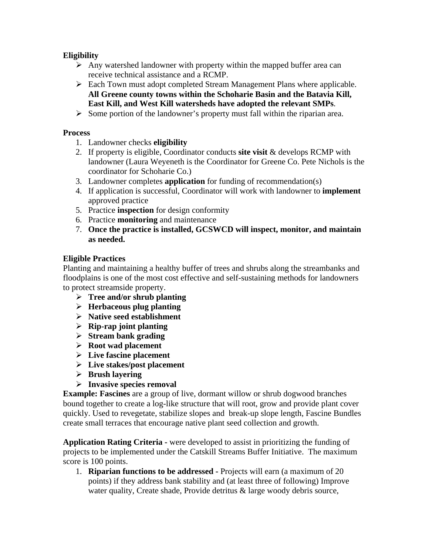# **Eligibility**

- $\triangleright$  Any watershed landowner with property within the mapped buffer area can receive technical assistance and a RCMP.
- Each Town must adopt completed Stream Management Plans where applicable. **All Greene county towns within the Schoharie Basin and the Batavia Kill, East Kill, and West Kill watersheds have adopted the relevant SMPs**.
- $\triangleright$  Some portion of the landowner's property must fall within the riparian area.

### **Process**

- 1. Landowner checks **eligibility**
- 2. If property is eligible, Coordinator conducts **site visit** & develops RCMP with landowner (Laura Weyeneth is the Coordinator for Greene Co. Pete Nichols is the coordinator for Schoharie Co.)
- 3. Landowner completes **application** for funding of recommendation(s)
- 4. If application is successful, Coordinator will work with landowner to **implement** approved practice
- 5. Practice **inspection** for design conformity
- 6. Practice **monitoring** and maintenance
- 7. **Once the practice is installed, GCSWCD will inspect, monitor, and maintain as needed.**

## **Eligible Practices**

Planting and maintaining a healthy buffer of trees and shrubs along the streambanks and floodplains is one of the most cost effective and self-sustaining methods for landowners to protect streamside property.

- **Tree and/or shrub planting**
- **Herbaceous plug planting**
- **Native seed establishment**
- **Rip-rap joint planting**
- **Stream bank grading**
- **Root wad placement**
- **Live fascine placement**
- **Live stakes/post placement**
- **Brush layering**
- **Invasive species removal**

**Example: Fascines** are a group of live, dormant willow or shrub dogwood branches bound together to create a log-like structure that will root, grow and provide plant cover quickly. Used to revegetate, stabilize slopes and break-up slope length, Fascine Bundles create small terraces that encourage native plant seed collection and growth.

**Application Rating Criteria -** were developed to assist in prioritizing the funding of projects to be implemented under the Catskill Streams Buffer Initiative. The maximum score is 100 points.

1. **Riparian functions to be addressed -** Projects will earn (a maximum of 20 points) if they address bank stability and (at least three of following) Improve water quality, Create shade, Provide detritus & large woody debris source,